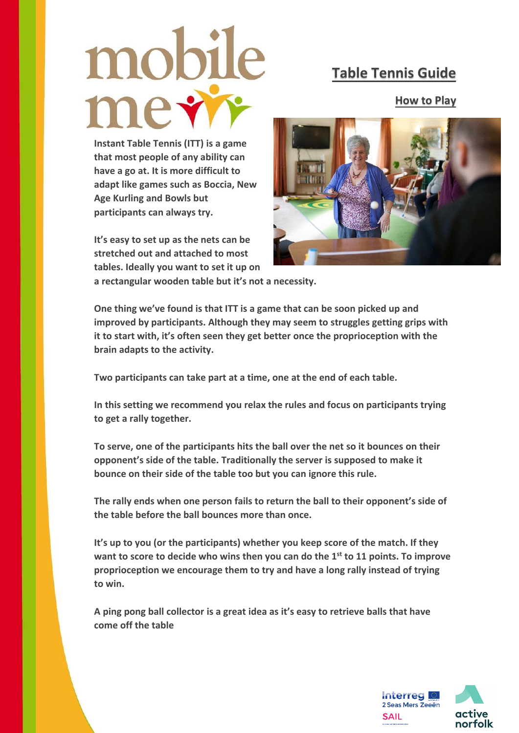## mobile

## **Table Tennis Guide**

**How to Play**

**Instant Table Tennis (ITT) is a game that most people of any ability can have a go at. It is more difficult to adapt like games such as Boccia, New Age Kurling and Bowls but participants can always try.** 

**It's easy to set up as the nets can be stretched out and attached to most tables. Ideally you want to set it up on** 



**a rectangular wooden table but it's not a necessity.**

**One thing we've found is that ITT is a game that can be soon picked up and improved by participants. Although they may seem to struggles getting grips with it to start with, it's often seen they get better once the proprioception with the brain adapts to the activity.** 

**Two participants can take part at a time, one at the end of each table.** 

**In this setting we recommend you relax the rules and focus on participants trying to get a rally together.** 

**To serve, one of the participants hits the ball over the net so it bounces on their opponent's side of the table. Traditionally the server is supposed to make it bounce on their side of the table too but you can ignore this rule.** 

**The rally ends when one person fails to return the ball to their opponent's side of the table before the ball bounces more than once.** 

**It's up to you (or the participants) whether you keep score of the match. If they want to score to decide who wins then you can do the 1st to 11 points. To improve proprioception we encourage them to try and have a long rally instead of trying to win.** 

**A ping pong ball collector is a great idea as it's easy to retrieve balls that have come off the table**